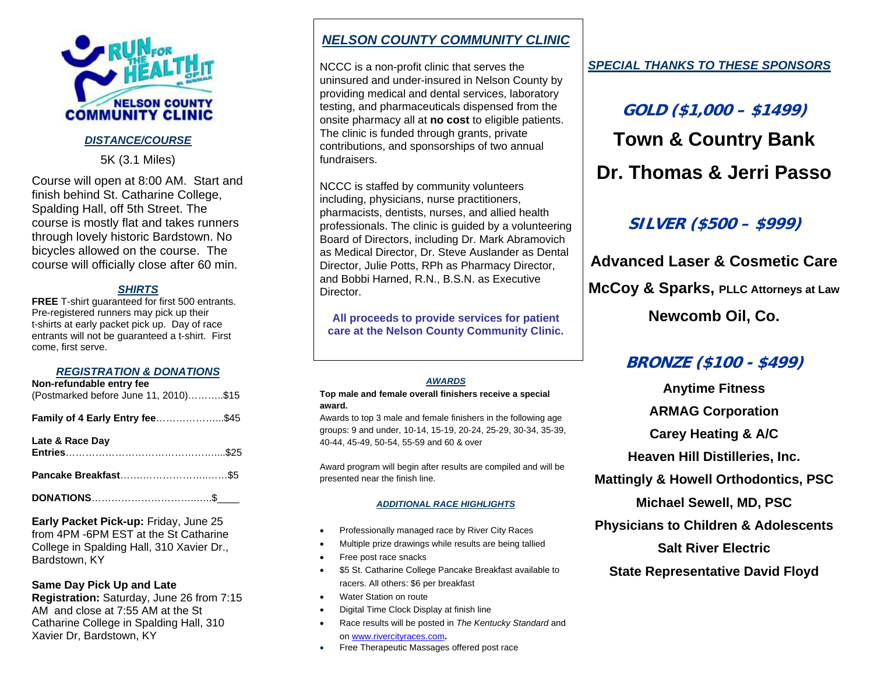

### *DISTANCE/COURSE*

5K (3.1 Miles)

Course will open at 8:00 AM. Start and finish behind St. Catharine College, Spalding Hall, off 5th Street. The course is mostly flat and takes runners through lovely historic Bardstown. No bicycles allowed on the course. The course will officially close after 60 min.

### *SHIRTS*

 **FREE** T-shirt guaranteed for first 500 entrants. Pre-registered runners may pick up their t-shirts at early packet pick up. Day of race entrants will not be guaranteed a t-shirt. First come, first serve.

#### *REGISTRATION & DONATIONS*

| Non-refundable entry fee<br>(Postmarked before June 11, 2010)\$15 |  |
|-------------------------------------------------------------------|--|
| Family of 4 Early Entry fee\$45                                   |  |
| Late & Race Day                                                   |  |
|                                                                   |  |
|                                                                   |  |

**Early Packet Pick-up:** Friday, June 25 from 4PM -6PM EST at the St Catharine College in Spalding Hall, 310 Xavier Dr., Bardstown, KY

**Same Day Pick Up and Late** 

**Registration:** Saturday, June 26 from 7:15 AM and close at 7:55 AM at the St Catharine College in Spalding Hall, 310 Xavier Dr, Bardstown, KY

## *NELSON COUNTY COMMUNITY CLINIC*

NCCC is a non-profit clinic that serves the uninsured and under-insured in Nelson County by providing medical and dental services, laboratory testing, and pharmaceuticals dispensed from the onsite pharmacy all at **no cost** to eligible patients. The clinic is funded through grants, private contributions, and sponsorships of two annual fundraisers.

NCCC is staffed by community volunteers including, physicians, nurse practitioners, pharmacists, dentists, nurses, and allied health professionals. The clinic is guided by a volunteering Board of Directors, including Dr. Mark Abramovich as Medical Director, Dr. Steve Auslander as Dental Director, Julie Potts, RPh as Pharmacy Director, and Bobbi Harned, R.N., B.S.N. as Executive Director.

**All proceeds to provide services for patient care at the Nelson County Community Clinic.** 

#### *AWARDS*

#### **Top male and female overall finishers receive a special award.**

Awards to top 3 male and female finishers in the following age groups: 9 and under, 10-14, 15-19, 20-24, 25-29, 30-34, 35-39, 40-44, 45-49, 50-54, 55-59 and 60 & over

Award program will begin after results are compiled and will be presented near the finish line.

#### *ADDITIONAL RACE HIGHLIGHTS*

- Professionally managed race by River City Races
- Multiple prize drawings while results are being tallied
- Free post race snacks
- \$5 St. Catharine College Pancake Breakfast available to racers. All others: \$6 per breakfast
- Water Station on route
- Digital Time Clock Display at finish line
- Race results will be posted in *The Kentucky Standard* and on www.rivercityraces.com**.**
- •Free Therapeutic Massages offered post race

## *SPECIAL THANKS TO THESE SPONSORS*

**GOLD (\$1,000 – \$1499) Town & Country Bank Dr. Thomas & Jerri Passo** 

# **SILVER (\$500 – \$999)**

**Advanced Laser & Cosmetic Care McCoy & Sparks, PLLC Attorneys at Law Newcomb Oil, Co.** 

# **BRONZE (\$100 - \$499)**

**Anytime Fitness ARMAG Corporation Carey Heating & A/C Heaven Hill Distilleries, Inc. Mattingly & Howell Orthodontics, PSC Michael Sewell, MD, PSC Physicians to Children & Adolescents Salt River Electric State Representative David Floyd**